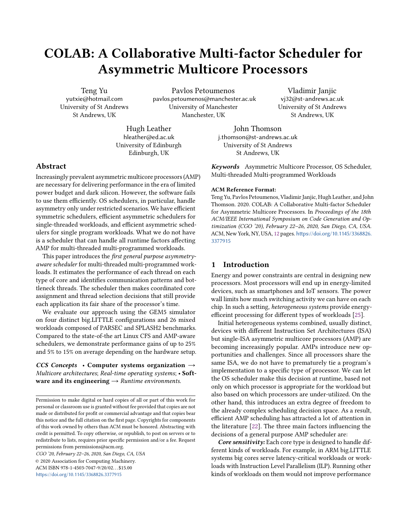# COLAB: A Collaborative Multi-factor Scheduler for Asymmetric Multicore Processors

Teng Yu yutxie@hotmail.com University of St Andrews St Andrews, UK

Pavlos Petoumenos pavlos.petoumenos@manchester.ac.uk University of Manchester Manchester, UK

Vladimir Janjic vj32@st-andrews.ac.uk University of St Andrews St Andrews, UK

Hugh Leather hleather@ed.ac.uk University of Edinburgh Edinburgh, UK

John Thomson j.thomson@st-andrews.ac.uk University of St Andrews St Andrews, UK

Keywords Asymmetric Multicore Processor, OS Scheduler, Multi-threaded Multi-programmed Workloads

## ACM Reference Format:

Teng Yu, Pavlos Petoumenos, Vladimir Janjic, Hugh Leather, and John Thomson. 2020. COLAB: A Collaborative Multi-factor Scheduler for Asymmetric Multicore Processors. In Proceedings of the 18th ACM/IEEE International Symposium on Code Generation and Optimization (CGO '20), February 22–26, 2020, San Diego, CA, USA. ACM, New York, NY, USA, [12](#page-11-0) pages. [https://doi.org/10.1145/3368826.](https://doi.org/10.1145/3368826.3377915) [3377915](https://doi.org/10.1145/3368826.3377915)

# 1 Introduction

Energy and power constraints are central in designing new processors. Most processors will end up in energy-limited devices, such as smartphones and IoT sensors. The power wall limits how much switching activity we can have on each chip. In such a setting, heterogeneous systems provide energyefficeint processing for different types of workloads [\[25\]](#page-11-1).

Initial heterogeneous systems combined, usually distinct, devices with different Instruction Set Architectures (ISA) but single-ISA asymmetric multicore processors (AMP) are becoming increasingly popular. AMPs introduce new opportunities and challenges. Since all processors share the same ISA, we do not have to prematurely tie a program's implementation to a specific type of processor. We can let the OS scheduler make this decision at runtime, based not only on which processor is appropriate for the workload but also based on which processors are under-utilized. On the other hand, this introduces an extra degree of freedom to the already complex scheduling decision space. As a result, efficient AMP scheduling has attracted a lot of attention in the literature [\[22\]](#page-11-2). The three main factors influencing the decisions of a general purpose AMP scheduler are:

Core sensitivity: Each core type is designed to handle different kinds of workloads. For example, in ARM big.LITTLE systems big cores serve latency-critical workloads or workloads with Instruction Level Parallelism (ILP). Running other kinds of workloads on them would not improve performance

## Abstract

Increasingly prevalent asymmetric multicore processors (AMP) are necessary for delivering performance in the era of limited power budget and dark silicon. However, the software fails to use them efficiently. OS schedulers, in particular, handle asymmetry only under restricted scenarios. We have efficient symmetric schedulers, efficient asymmetric schedulers for single-threaded workloads, and efficient asymmetric schedulers for single program workloads. What we do not have is a scheduler that can handle all runtime factors affecting AMP for multi-threaded multi-programmed workloads.

This paper introduces the first general purpose asymmetryaware scheduler for multi-threaded multi-programmed workloads. It estimates the performance of each thread on each type of core and identifies communication patterns and bottleneck threads. The scheduler then makes coordinated core assignment and thread selection decisions that still provide each application its fair share of the processor's time.

We evaluate our approach using the GEM5 simulator on four distinct big.LITTLE configurations and 26 mixed workloads composed of PARSEC and SPLASH2 benchmarks. Compared to the state-of-the art Linux CFS and AMP-aware schedulers, we demonstrate performance gains of up to 25% and 5% to 15% on average depending on the hardware setup.

CCS Concepts • Computer systems organization  $\rightarrow$ Multicore architectures; Real-time operating systems; • Software and its engineering  $\rightarrow$  Runtime environments.

CGO '20, February 22–26, 2020, San Diego, CA, USA

© 2020 Association for Computing Machinery. ACM ISBN 978-1-4503-7047-9/20/02. . . \$15.00 <https://doi.org/10.1145/3368826.3377915>

Permission to make digital or hard copies of all or part of this work for personal or classroom use is granted without fee provided that copies are not made or distributed for profit or commercial advantage and that copies bear this notice and the full citation on the first page. Copyrights for components of this work owned by others than ACM must be honored. Abstracting with credit is permitted. To copy otherwise, or republish, to post on servers or to redistribute to lists, requires prior specific permission and/or a fee. Request permissions from permissions@acm.org.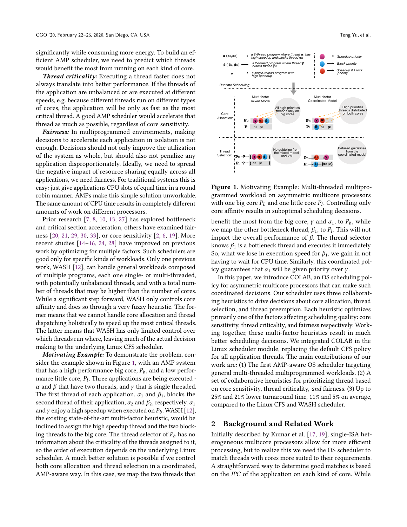significantly while consuming more energy. To build an efficient AMP scheduler, we need to predict which threads would benefit the most from running on each kind of core.

Thread criticality: Executing a thread faster does not always translate into better performance. If the threads of the application are unbalanced or are executed at different speeds, e.g. because different threads run on different types of cores, the application will be only as fast as the most critical thread. A good AMP scheduler would accelerate that thread as much as possible, regardless of core sensitivity.

Fairness: In multiprogrammed environments, making decisions to accelerate each application in isolation is not enough. Decisions should not only improve the utilization of the system as whole, but should also not penalize any application disproportionately. Ideally, we need to spread the negative impact of resource sharing equally across all applications, we need fairness. For traditional systems this is easy: just give applications CPU slots of equal time in a round robin manner. AMPs make this simple solution unworkable. The same amount of CPU time results in completely different amounts of work on different processors.

Prior research [\[7,](#page-11-3) [8,](#page-11-4) [10,](#page-11-5) [13,](#page-11-6) [27\]](#page-11-7) has explored bottleneck and critical section acceleration, others have examined fairness [\[20,](#page-11-8) [21,](#page-11-9) [29,](#page-11-10) [30,](#page-11-11) [33\]](#page-11-12), or core sensitivity [\[2,](#page-10-0) [6,](#page-11-13) [19\]](#page-11-14). More recent studies [\[14–](#page-11-15)[16,](#page-11-16) [24,](#page-11-17) [28\]](#page-11-18) have improved on previous work by optimizing for multiple factors. Such schedulers are good only for specific kinds of workloads. Only one previous work, WASH [\[12\]](#page-11-19), can handle general workloads composed of multiple programs, each one single- or multi-threaded, with potentially unbalanced threads, and with a total number of threads that may be higher than the number of cores. While a significant step forward, WASH only controls core affinity and does so through a very fuzzy heuristic. The former means that we cannot handle core allocation and thread dispatching holistically to speed up the most critical threads. The latter means that WASH has only limited control over which threads run where, leaving much of the actual decision making to the underlying Linux CFS scheduler.

Motivating Example: To demonstrate the problem, consider the example shown in Figure [1,](#page-1-0) with an AMP system that has a high performance big core,  $P_b$ , and a low performance little core,  $P_l$ . Three applications are being executed -<br> $\alpha$  and  $\beta$  that have two threads, and  $\alpha$  that is single threaded α and  $β$  that have two threads, and  $γ$  that is single threaded. The first thread of each application,  $\alpha_1$  and  $\beta_1$ , blocks the second thread of their application,  $\alpha_2$  and  $\beta_2$ , respectively.  $\alpha_1$ and  $\gamma$  enjoy a high speedup when executed on  $P_b$ . WASH [\[12\]](#page-11-19), the existing state-of-the-art multi-factor heuristic, would be inclined to assign the high speedup thread and the two blocking threads to the big core. The thread selector of  $P_b$  has no information about the criticality of the threads assigned to it, so the order of execution depends on the underlying Linux scheduler. A much better solution is possible if we control both core allocation and thread selection in a coordinated, AMP-aware way. In this case, we map the two threads that

<span id="page-1-0"></span>

Figure 1. Motivating Example: Multi-threaded multiprogrammed workload on asymmetric multicore processors with one big core  $P_b$  and one little core  $P_l$ . Controlling only core affinity results in subortimal scheduling decisions core affinity results in suboptimal scheduling decisions.

benefit the most from the big core,  $\gamma$  and  $\alpha_1$ , to  $P_b$ , while we map the other bottleneck thread,  $\beta_1$ , to  $P_l$ . This will not<br>impact the overall performance of  $\beta$ . The thread selector impact the overall performance of  $β$ . The thread selector knows  $\beta_1$  is a bottleneck thread and executes it immediately. So, what we lose in execution speed for  $\beta_1$ , we gain in not having to wait for CPU time. Similarly, this coordinated policy guarantees that  $\alpha_1$  will be given priority over  $\gamma$ .

In this paper, we introduce COLAB, an OS scheduling policy for asymmetric multicore processors that can make such coordinated decisions. Our scheduler uses three collaborating heuristics to drive decisions about core allocation, thread selection, and thread preemption. Each heuristic optimizes primarily one of the factors affecting scheduling quality: core sensitivity, thread criticality, and fairness respectively. Working together, these multi-factor heuristics result in much better scheduling decisions. We integrated COLAB in the Linux scheduler module, replacing the default CFS policy for all application threads. The main contributions of our work are: (1) The first AMP-aware OS scheduler targeting general multi-threaded multiprogrammed workloads. (2) A set of collaborative heuristics for prioritizing thread based on core sensitivity, thread criticality, and fairness. (3) Up to 25% and 21% lower turnaround time, 11% and 5% on average, compared to the Linux CFS and WASH scheduler.

# 2 Background and Related Work

Initially described by Kumar et al. [\[17,](#page-11-20) [19\]](#page-11-14), single-ISA heterogeneous multicore processors allow for more efficient processing, but to realize this we need the OS scheduler to match threads with cores more suited to their requirements. A straightforward way to determine good matches is based on the IPC of the application on each kind of core. While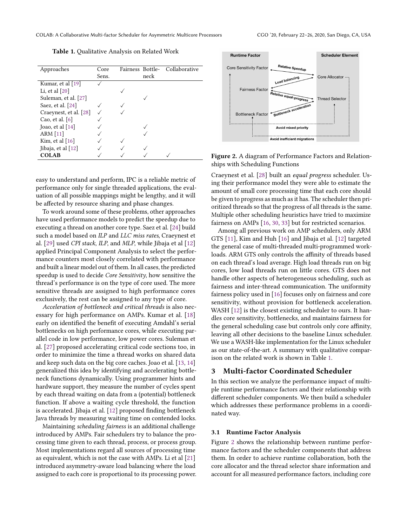<span id="page-2-0"></span>Table 1. Qualitative Analysis on Related Work

| Approaches             | Core  | Fairness Bottle- |      | Collaborative |
|------------------------|-------|------------------|------|---------------|
|                        | Sens. |                  | neck |               |
| Kumar, et al [19]      |       |                  |      |               |
| Li, et al $[20]$       |       |                  |      |               |
| Suleman, et al. [27]   |       |                  |      |               |
| Saez, et al. [24]      |       |                  |      |               |
| Craeynest, et al. [28] |       |                  |      |               |
| Cao, et al. $[6]$      |       |                  |      |               |
| Joao, et al [14]       |       |                  |      |               |
| ARM $[11]$             |       |                  |      |               |
| Kim, et al [16]        |       |                  |      |               |
| Jibaja, et al $[12]$   |       |                  |      |               |
| <b>COLAB</b>           |       |                  |      |               |

easy to understand and perform, IPC is a reliable metric of performance only for single threaded applications, the evaluation of all possible mappings might be lengthy, and it will be affected by resource sharing and phase changes.

To work around some of these problems, other approaches have used performance models to predict the speedup due to executing a thread on another core type. Saez et al. [\[24\]](#page-11-17) build such a model based on ILP and LLC miss rates, Craeynest et al. [\[29\]](#page-11-10) used CPI stack, ILP, and MLP, while Jibaja et al [\[12\]](#page-11-19) applied Principal Component Analysis to select the performance counters most closely correlated with performance and built a linear model out of them. In all cases, the predicted speedup is used to decide Core Sensitivity, how sensitive the thread's performance is on the type of core used. The more sensitive threads are assigned to high performance cores exclusively, the rest can be assigned to any type of core.

Acceleration of bottleneck and critical threads is also necessary for high performance on AMPs. Kumar et al. [\[18\]](#page-11-22) early on identified the benefit of executing Amdahl's serial bottlenecks on high performance cores, while executing parallel code in low performance, low power cores. Suleman et al. [\[27\]](#page-11-7) proposed accelerating critical code sections too, in order to minimize the time a thread works on shared data and keep such data on the big core caches. Joao et al. [\[13,](#page-11-6) [14\]](#page-11-15) generalized this idea by identifying and accelerating bottleneck functions dynamically. Using programmer hints and hardware support, they measure the number of cycles spent by each thread waiting on data from a (potential) bottleneck function. If above a waiting cycle threshold, the function is accelerated. Jibaja et al. [\[12\]](#page-11-19) proposed finding bottleneck Java threads by measuring waiting time on contended locks.

Maintaining scheduling fairness is an additional challenge introduced by AMPs. Fair schedulers try to balance the processing time given to each thread, process, or process group. Most implementations regard all sources of processing time as equivalent, which is not the case with AMPs. Li et al [\[21\]](#page-11-9) introduced asymmetry-aware load balancing where the load assigned to each core is proportional to its processing power.

<span id="page-2-1"></span>

Figure 2. A diagram of Performance Factors and Relationships with Scheduling Functions

Craeynest et al. [\[28\]](#page-11-18) built an equal progress scheduler. Using their performance model they were able to estimate the amount of small core processing time that each core should be given to progress as much as it has. The scheduler then prioritized threads so that the progress of all threads is the same. Multiple other scheduling heuristics have tried to maximize fairness on AMPs [\[16,](#page-11-16) [30,](#page-11-11) [33\]](#page-11-12) but for restricted scenarios.

Among all previous work on AMP schedulers, only ARM GTS [\[11\]](#page-11-21), Kim and Huh [\[16\]](#page-11-16) and Jibaja et al. [\[12\]](#page-11-19) targeted the general case of multi-threaded multi-programmed workloads. ARM GTS only controls the affinity of threads based on each thread's load average. High load threads run on big cores, low load threads run on little cores. GTS does not handle other aspects of heterogeneous scheduling, such as fairness and inter-thread communication. The uniformity fairness policy used in [\[16\]](#page-11-16) focuses only on fairness and core sensitivity, without provision for bottleneck acceleration. WASH [\[12\]](#page-11-19) is the closest existing scheduler to ours. It handles core sensitivity, bottlenecks, and maintains fairness for the general scheduling case but controls only core affinity, leaving all other decisions to the baseline Linux scheduler. We use a WASH-like implementation for the Linux scheduler as our state-of-the-art. A summary with qualitative comparison on the related work is shown in Table [1.](#page-2-0)

# 3 Multi-factor Coordinated Scheduler

In this section we analyze the performance impact of multiple runtime performance factors and their relationship with different scheduler components. We then build a scheduler which addresses these performance problems in a coordinated way.

## 3.1 Runtime Factor Analysis

Figure [2](#page-2-1) shows the relationship between runtime performance factors and the scheduler components that address them. In order to achieve runtime collaboration, both the core allocator and the thread selector share information and account for all measured performance factors, including core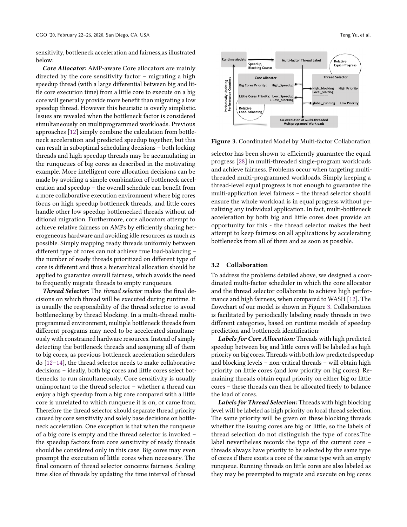sensitivity, bottleneck acceleration and fairness,as illustrated below:

Core Allocator: AMP-aware Core allocators are mainly directed by the core sensitivity factor – migrating a high speedup thread (with a large differential between big and little core execution time) from a little core to execute on a big core will generally provide more benefit than migrating a low speedup thread. However this heuristic is overly simplistic. Issues are revealed when the bottleneck factor is considered simultaneously on multiprogrammed workloads. Previous approaches [\[12\]](#page-11-19) simply combine the calculation from bottleneck acceleration and predicted speedup together, but this can result in suboptimal scheduling decisions – both locking threads and high speedup threads may be accumulating in the runqueues of big cores as described in the motivating example. More intelligent core allocation decisions can be made by avoiding a simple combination of bottleneck acceleration and speedup – the overall schedule can benefit from a more collaborative execution environment where big cores focus on high speedup bottleneck threads, and little cores handle other low speedup bottlenecked threads without additional migration. Furthermore, core allocators attempt to achieve relative fairness on AMPs by efficiently sharing heterogeneous hardware and avoiding idle resources as much as possible. Simply mapping ready threads uniformly between different type of cores can not achieve true load-balancing – the number of ready threads prioritized on different type of core is different and thus a hierarchical allocation should be applied to guarantee overall fairness, which avoids the need to frequently migrate threads to empty runqueues.

Thread Selector: The thread selector makes the final decisions on which thread will be executed during runtime. It is usually the responsibility of the thread selector to avoid bottlenecking by thread blocking. In a multi-thread multiprogrammed environment, multiple bottleneck threads from different programs may need to be accelerated simultaneously with constrained hardware resources. Instead of simply detecting the bottleneck threads and assigning all of them to big cores, as previous bottleneck acceleration schedulers do [\[12](#page-11-19)[–14\]](#page-11-15), the thread selector needs to make collaborative decisions – ideally, both big cores and little cores select bottlenecks to run simultaneously. Core sensitivity is usually unimportant to the thread selector – whether a thread can enjoy a high speedup from a big core compared with a little core is unrelated to which runqueue it is on, or came from. Therefore the thread selector should separate thread priority caused by core sensitivity and solely base decisions on bottleneck acceleration. One exception is that when the runqueue of a big core is empty and the thread selector is invoked – the speedup factors from core sensitivity of ready threads should be considered only in this case. Big cores may even preempt the execution of little cores when necessary. The final concern of thread selector concerns fairness. Scaling time slice of threads by updating the time interval of thread

<span id="page-3-0"></span>

Figure 3. Coordinated Model by Multi-factor Collaboration

selector has been shown to efficiently guarantee the equal progress [\[28\]](#page-11-18) in multi-threaded single-program workloads and achieve fairness. Problems occur when targeting multithreaded multi-programmed workloads. Simply keeping a thread-level equal progress is not enough to guarantee the multi-application level fairness – the thread selector should ensure the whole workload is in equal progress without penalizing any individual application. In fact, multi-bottleneck acceleration by both big and little cores does provide an opportunity for this - the thread selector makes the best attempt to keep fairness on all applications by accelerating bottlenecks from all of them and as soon as possible.

## 3.2 Collaboration

To address the problems detailed above, we designed a coordinated multi-factor scheduler in which the core allocator and the thread selector collaborate to achieve high performance and high fairness, when compared to WASH [\[12\]](#page-11-19). The flowchart of our model is shown in Figure [3.](#page-3-0) Collaboration is facilitated by periodically labeling ready threads in two different categories, based on runtime models of speedup prediction and bottleneck identification:

Labels for Core Allocation: Threads with high predicted speedup between big and little cores will be labeled as high priority on big cores. Threads with both low predicted speedup and blocking levels – non-critical threads – will obtain high priority on little cores (and low priority on big cores). Remaining threads obtain equal priority on either big or little cores – these threads can then be allocated freely to balance the load of cores.

Labels for Thread Selection: Threads with high blocking level will be labeled as high priority on local thread selection. The same priority will be given on these blocking threads whether the issuing cores are big or little, so the labels of thread selection do not distinguish the type of cores.The label nevertheless records the type of the current core – threads always have priority to be selected by the same type of cores if there exists a core of the same type with an empty runqueue. Running threads on little cores are also labeled as they may be preempted to migrate and execute on big cores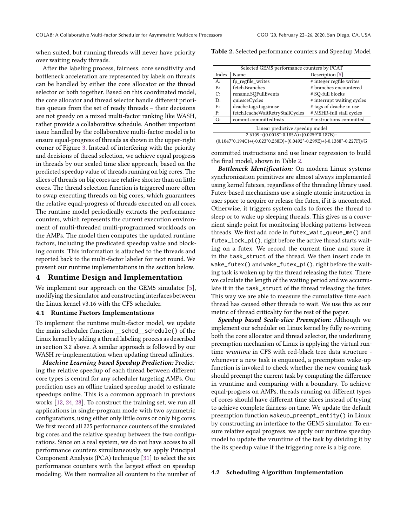when suited, but running threads will never have priority over waiting ready threads.

After the labeling process, fairness, core sensitivity and bottleneck acceleration are represented by labels on threads can be handled by either the core allocator or the thread selector or both together. Based on this coordinated model, the core allocator and thread selector handle different priorities queues from the set of ready threads – their decisions are not greedy on a mixed multi-factor ranking like WASH, rather provide a collaborative schedule. Another important issue handled by the collaborative multi-factor model is to ensure equal-progress of threads as shown in the upper-right corner of Figure [3.](#page-3-0) Instead of interfering with the priority and decisions of thread selection, we achieve equal progress in threads by our scaled time slice approach, based on the predicted speedup value of threads running on big cores. The slices of threads on big cores are relative shorter than on little cores. The thread selection function is triggered more often to swap executing threads on big cores, which guarantees the relative equal-progress of threads executed on all cores. The runtime model periodically extracts the performance counters, which represents the current execution environment of multi-threaded multi-programmed workloads on the AMPs. The model then computes the updated runtime factors, including the predicated speedup value and blocking counts. This information is attached to the threads and reported back to the multi-factor labeler for next round. We present our runtime implementations in the section below.

# 4 Runtime Design and Implementation

We implement our approach on the GEM5 simulator [\[5\]](#page-11-23), modifying the simulator and constructing interfaces between the Linux kernel v3.16 with the CFS scheduler.

#### 4.1 Runtime Factors Implementations

To implement the runtime multi-factor model, we update the main scheduler function \_\_sched\_\_schedule() of the Linux kernel by adding a thread labeling process as described in section 3.2 above. A similar approach is followed by our WASH re-implementation when updating thread affinities.

Machine Learning based Speedup Prediction: Predicting the relative speedup of each thread between different core types is central for any scheduler targeting AMPs. Our prediction uses an offline trained speedup model to estimate speedups online. This is a common approach in previous works [\[12,](#page-11-19) [24,](#page-11-17) [28\]](#page-11-18). To construct the training set, we run all applications in single-program mode with two symmetric configurations, using either only little cores or only big cores. We first record all 225 performance counters of the simulated big cores and the relative speedup between the two configurations. Since on a real system, we do not have access to all performance counters simultaneously, we apply Principal Component Analysis (PCA) technique [\[31\]](#page-11-24) to select the six performance counters with the largest effect on speedup modeling. We then normalize all counters to the number of <span id="page-4-0"></span>Table 2. Selected performance counters and Speedup Model

|       | Selected GEM5 performance counters by PCAT                             |                            |  |  |  |
|-------|------------------------------------------------------------------------|----------------------------|--|--|--|
| Index | Name                                                                   | Description [5]            |  |  |  |
| $A$ : | fp_regfile_writes                                                      | # integer regfile writes   |  |  |  |
| B:    | fetch.Branches                                                         | # branches encountered     |  |  |  |
| C:    | rename.SQFullEvents                                                    | # SQ-full blocks           |  |  |  |
| D:    | quiesceCycles                                                          | # interrupt waiting cycles |  |  |  |
| $E$ : | dcache.tags.tagsinuse                                                  | # tags of dcache in use    |  |  |  |
| F:    | fetch.IcacheWaitRetryStallCycles                                       | # MSHR-full stall cycles   |  |  |  |
| G:    | commit.committedInsts                                                  | # instructions committed   |  |  |  |
|       | Linear predictive speedup model                                        |                            |  |  |  |
|       | $2.6109 + ((0.0018*-0.185A)+(0.0259*0.187B)+$                          |                            |  |  |  |
|       | $(0.1047*0.194C)+(0.023*0.238D)+(0.0492*-0.299E)+(-0.1388*-0.227F))/G$ |                            |  |  |  |

committed instructions and use linear regression to build the final model, shown in Table [2.](#page-4-0)

Bottleneck Identification: On modern Linux systems synchronization primitives are almost always implemented using kernel futexes, regardless of the threading library used. Futex-based mechanisms use a single atomic instruction in user space to acquire or release the futex, if it is uncontested. Otherwise, it triggers system calls to forces the thread to sleep or to wake up sleeping threads. This gives us a convenient single point for monitoring blocking patterns between threads. We first add code in futex\_wait\_queue\_me() and futex\_lock\_pi(), right before the active thread starts waiting on a futex. We record the current time and store it in the task\_struct of the thread. We then insert code in wake\_futex() and wake\_futex\_pi(), right before the waiting task is woken up by the thread releasing the futex. There we calculate the length of the waiting period and we accumulate it in the task\_struct of the thread releasing the futex. This way we are able to measure the cumulative time each thread has caused other threads to wait. We use this as our metric of thread criticality for the rest of the paper.

Speedup based Scale-slice Preemption: Although we implement our scheduler on Linux kernel by fully re-writing both the core allocator and thread selector, the underlining preemption mechanism of Linux is applying the virtual runtime vruntime in CFS with red-black tree data structure whenever a new task is enqueued, a preemption wake-up function is invoked to check whether the new coming task should preempt the current task by computing the difference in vruntime and comparing with a boundary. To achieve equal-progress on AMPs, threads running on different types of cores should have different time slices instead of trying to achieve complete fairness on time. We update the default preemption function wakeup\_preempt\_entity() in Linux by constructing an interface to the GEM5 simulator. To ensure relative equal progress, we apply our runtime speedup model to update the vruntime of the task by dividing it by the its speedup value if the triggering core is a big core.

## 4.2 Scheduling Algorithm Implementation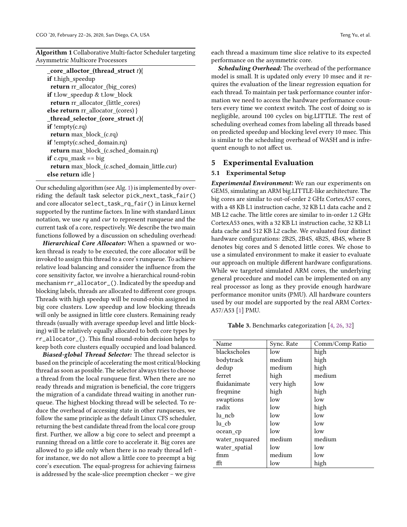<span id="page-5-0"></span>Algorithm 1 Collaborative Multi-factor Scheduler targeting Asymmetric Multicore Processors

Our scheduling algorithm (see Alg. [1\)](#page-5-0) is implemented by overriding the default task selector pick\_next\_task\_fair() and core allocator select\_task\_rq\_fair() in Linux kernel supported by the runtime factors. In line with standard Linux notation, we use  $rq$  and  $cur$  to represent runqueue and the current task of a core, respectively. We describe the two main functions followed by a discussion on scheduling overhead:

Hierarchical Core Allocator: When a spawned or woken thread is ready to be executed, the core allocator will be invoked to assign this thread to a core's runqueue. To achieve relative load balancing and consider the influence from the core sensitivity factor, we involve a hierarchical round-robin mechanism rr\_allocator\_(). Indicated by the speedup and blocking labels, threads are allocated to different core groups. Threads with high speedup will be round-robin assigned in big core clusters. Low speedup and low blocking threads will only be assigned in little core clusters. Remaining ready threads (usually with average speedup level and little blocking) will be relatively equally allocated to both core types by rr\_allocator\_(). This final round-robin decision helps to keep both core clusters equally occupied and load balanced.

Biased-global Thread Selector: The thread selector is based on the principle of accelerating the most critical/blocking thread as soon as possible. The selector always tries to choose a thread from the local runqueue first. When there are no ready threads and migration is beneficial, the core triggers the migration of a candidate thread waiting in another runqueue. The highest blocking thread will be selected. To reduce the overhead of accessing state in other runqueues, we follow the same principle as the default Linux CFS scheduler, returning the best candidate thread from the local core group first. Further, we allow a big core to select and preempt a running thread on a little core to accelerate it. Big cores are allowed to go idle only when there is no ready thread left for instance, we do not allow a little core to preempt a big core's execution. The equal-progress for achieving fairness is addressed by the scale-slice preemption checker – we give

each thread a maximum time slice relative to its expected performance on the asymmetric core.

**Scheduling Overhead:** The overhead of the performance model is small. It is updated only every 10 msec and it requires the evaluation of the linear regression equation for each thread. To maintain per task performance counter information we need to access the hardware performance counters every time we context switch. The cost of doing so is negligible, around 100 cycles on big.LITTLE. The rest of scheduling overhead comes from labeling all threads based on predicted speedup and blocking level every 10 msec. This is similar to the scheduling overhead of WASH and is infrequent enough to not affect us.

# 5 Experimental Evaluation

#### 5.1 Experimental Setup

Experimental Environment: We ran our experiments on GEM5, simulating an ARM big.LITTLE-like architecture. The big cores are similar to out-of-order 2 GHz CortexA57 cores, with a 48 KB L1 instruction cache, 32 KB L1 data cache and 2 MB L2 cache. The little cores are similar to in-order 1.2 GHz CortexA53 ones, with a 32 KB L1 instruction cache, 32 KB L1 data cache and 512 KB L2 cache. We evaluated four distinct hardware configurations: 2B2S, 2B4S, 4B2S, 4B4S, where B denotes big cores and S denoted little cores. We chose to use a simulated environment to make it easier to evaluate our approach on multiple different hardware configurations. While we targeted simulated ARM cores, the underlying general procedure and model can be implemented on any real processor as long as they provide enough hardware performance monitor units (PMU). All hardware counters used by our model are supported by the real ARM Cortex-A57/A53 [\[1\]](#page-10-1) PMU.

<span id="page-5-1"></span>Table 3. Benchmarks categorization [\[4,](#page-11-25) [26,](#page-11-26) [32\]](#page-11-27)

| Name           | Sync. Rate | Comm/Comp Ratio |
|----------------|------------|-----------------|
| blackscholes   | low        | high            |
| bodytrack      | medium     | high            |
| dedup          | medium     | high            |
| ferret         | high       | medium          |
| fluidanimate   | very high  | low             |
| freqmine       | high       | high            |
| swaptions      | low        | low             |
| radix          | low        | high            |
| lu ncb         | low        | low             |
| lu cb          | low        | low             |
| ocean cp       | low        | low             |
| water_nsquared | medium     | medium          |
| water_spatial  | low        | low             |
| fmm            | medium     | low             |
| fft            | low        | high            |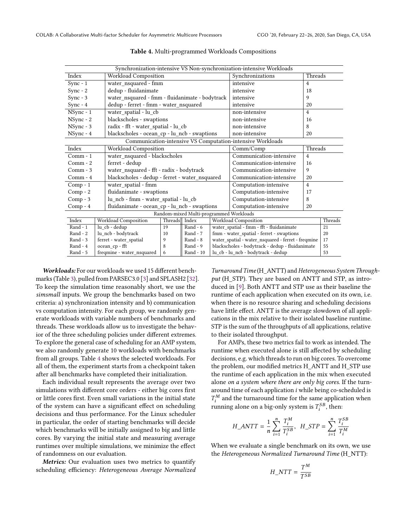<span id="page-6-0"></span>

| Synchronization-intensive VS Non-synchronization-intensive Workloads |  |                                                 |         |                                         |                                    |                                                            |   |    |
|----------------------------------------------------------------------|--|-------------------------------------------------|---------|-----------------------------------------|------------------------------------|------------------------------------------------------------|---|----|
| Index                                                                |  | Workload Composition                            |         |                                         | Threads<br>Synchronizations        |                                                            |   |    |
| $Sync - 1$                                                           |  | water_nsquared - fmm                            |         |                                         | intensive                          | $\overline{4}$                                             |   |    |
| $Sync - 2$                                                           |  | dedup - fluidanimate                            |         |                                         | intensive                          | 18                                                         |   |    |
| $Sync - 3$                                                           |  | water nsquared - fmm - fluidanimate - bodytrack |         |                                         |                                    | intensive                                                  | 9 |    |
| $Sync - 4$                                                           |  | dedup - ferret - fmm - water nsquared           |         |                                         | intensive                          | 20                                                         |   |    |
| NSync - 1                                                            |  | water_spatial - lu_cb                           |         |                                         | non-intensive                      | $\overline{4}$                                             |   |    |
| NSync - 2                                                            |  | blackscholes - swaptions                        |         |                                         | non-intensive                      | 16                                                         |   |    |
| NSync - 3                                                            |  | radix - fft - water_spatial - lu_cb             |         |                                         | non-intensive                      | 8                                                          |   |    |
| NSync - 4                                                            |  | blackscholes - ocean_cp - lu_ncb - swaptions    |         |                                         | non-intensive                      | 20                                                         |   |    |
|                                                                      |  |                                                 |         |                                         |                                    | Communication-intensive VS Computation-intensive Workloads |   |    |
| Index                                                                |  | Workload Composition                            |         |                                         | Comm/Comp                          | Threads                                                    |   |    |
| $Comm - 1$                                                           |  | water_nsquared - blackscholes                   |         |                                         | Communication-intensive            | $\overline{4}$                                             |   |    |
| $Comm-2$                                                             |  | ferret - dedup                                  |         |                                         | Communication-intensive            | 16                                                         |   |    |
| $Comm-3$                                                             |  | water_nsquared - fft - radix - bodytrack        |         |                                         | Communication-intensive            | 9                                                          |   |    |
| $Comm-4$                                                             |  | blackscholes - dedup - ferret - water_nsquared  |         |                                         | Communication-intensive            | 20                                                         |   |    |
| $Comp - 1$                                                           |  | water_spatial - fmm                             |         | Computation-intensive                   | $\overline{4}$                     |                                                            |   |    |
| Comp - 2                                                             |  | fluidanimate - swaptions                        |         | Computation-intensive                   | 17                                 |                                                            |   |    |
| $Comp - 3$                                                           |  | lu_ncb - fmm - water_spatial - lu_cb            |         |                                         | Computation-intensive              | 8                                                          |   |    |
| Comp - 4                                                             |  | fluidanimate - ocean_cp - lu_ncb - swaptions    |         | Computation-intensive                   | 20                                 |                                                            |   |    |
|                                                                      |  |                                                 |         | Random-mixed Multi-programmed Workloads |                                    |                                                            |   |    |
| Index                                                                |  | Workload Composition                            | Threads | Index                                   |                                    | Workload Composition                                       |   |    |
| $Rand - 1$                                                           |  | lu cb - dedup                                   | 19      | $Rand - 6$                              |                                    | water spatial - fmm - fft - fluidanimate<br>21             |   |    |
| Rand - 2                                                             |  | lu ncb - bodytrack                              | 10      | $Rand - 7$                              |                                    | fmm - water spatial - ferret - swaptions<br>20             |   |    |
| Rand - 3                                                             |  | ferret - water_spatial                          | 9       | Rand - 8                                |                                    | water_spatial - water_nsquared - ferret - freqmine<br>17   |   |    |
| $Rand - 4$                                                           |  | ocean cp - fft                                  | 8       | $Rand - 9$                              |                                    | blackscholes - bodytrack - dedup - fluidanimate<br>55      |   |    |
| Rand - 5                                                             |  | freqmine - water nsquared                       | 6       | Rand - 10                               | lu_cb - lu_ncb - bodytrack - dedup |                                                            |   | 53 |

Table 4. Multi-programmed Workloads Compositions

Workloads: For our workloads we used 15 different benchmarks (Table [3\)](#page-5-1), pulled from PARSEC3.0 [\[3\]](#page-11-28) and SPLASH2 [\[32\]](#page-11-27). To keep the simulation time reasonably short, we use the simsmall inputs. We group the benchmarks based on two criteria: a) synchronization intensity and b) communication vs computation intensity. For each group, we randomly generate workloads with variable numbers of benchmarks and threads. These workloads allow us to investigate the behavior of the three scheduling policies under different extremes. To explore the general case of scheduling for an AMP system, we also randomly generate 10 workloads with benchmarks from all groups. Table [4](#page-6-0) shows the selected workloads. For all of them, the experiment starts from a checkpoint taken after all benchmarks have completed their initialization.

Each individual result represents the average over two simulations with different core orders - either big cores first or little cores first. Even small variations in the initial state of the system can have a significant effect on scheduling decisions and thus performance. For the Linux scheduler in particular, the order of starting benchmarks will decide which benchmarks will be initially assigned to big and little cores. By varying the initial state and measuring average runtimes over multiple simulations, we minimize the effect of randomness on our evaluation.

Metrics: Our evaluation uses two metrics to quantify scheduling efficiency: Heterogeneous Average Normalized

Turnaround Time (H\_ANTT) and Heterogeneous System Throughput (H\_STP). They are based on ANTT and STP, as introduced in [\[9\]](#page-11-29). Both ANTT and STP use as their baseline the runtime of each application when executed on its own, i.e. when there is no resource sharing and scheduling decisions have little effect. ANTT is the average slowdown of all applications in the mix relative to their isolated baseline runtime. STP is the sum of the throughputs of all applications, relative to their isolated throughput.

For AMPs, these two metrics fail to work as intended. The runtime when executed alone is still affected by scheduling decisions, e.g. which threads to run on big cores. To overcome the problem, our modified metrics H\_ANTT and H\_STP use the runtime of each application in the mix when executed alone on a system where there are only big cores. If the turnaround time of each application i while being co-scheduled is running alone on a big-only system is  $T_i^{SB}$ , then:  $\mathcal{F}_i^M$  and the turnaround time for the same application when

$$
H\_ANTT = \frac{1}{n} \sum_{i=1}^{n} \frac{T_i^M}{T_i^{SB}}, \ H\_STP = \sum_{i=1}^{n} \frac{T_i^{SB}}{T_i^M}
$$

When we evaluate a single benchmark on its own, we use the Heterogeneous Normalized Turnaround Time (H\_NTT):

$$
H\_NTT = \frac{T^M}{T^{SB}}
$$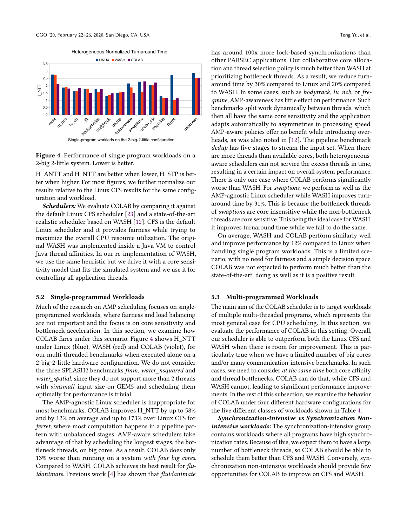Heterogeneous Normalized Turnaround Time

<span id="page-7-0"></span>

Figure 4. Performance of single program workloads on a 2-big 2-little system. Lower is better.

H\_ANTT and H\_NTT are better when lower, H\_STP is better when higher. For most figures, we further normalize our results relative to the Linux CFS results for the same configuration and workload.

Schedulers: We evaluate COLAB by comparing it against the default Linux CFS scheduler [\[23\]](#page-11-30) and a state-of-the-art realistic scheduler based on WASH [\[12\]](#page-11-19). CFS is the default Linux scheduler and it provides fairness while trying to maximize the overall CPU resource utilization. The original WASH was implemented inside a Java VM to control Java thread affinities. In our re-implementation of WASH, we use the same heuristic but we drive it with a core sensitivity model that fits the simulated system and we use it for controlling all application threads.

## 5.2 Single-programmed Workloads

Much of the research on AMP scheduling focuses on singleprogrammed workloads, where fairness and load balancing are not important and the focus is on core sensitivity and bottleneck acceleration. In this section, we examine how COLAB fares under this scenario. Figure [4](#page-7-0) shows H\_NTT under Linux (blue), WASH (red) and COLAB (violet), for our multi-threaded benchmarks when executed alone on a 2-big-2-little hardware configuration. We do not consider the three SPLASH2 benchmarks fmm, water nsquared and water spatial, since they do not support more than 2 threads with simsmall input size on GEM5 and scheduling them optimally for performance is trivial.

The AMP-agnostic Linux scheduler is inappropriate for most benchmarks. COLAB improves H\_NTT by up to 58% and by 12% on average and up to 173% over Linux CFS for ferret, where most computation happens in a pipeline pattern with unbalanced stages. AMP-aware schedulers take advantage of that by scheduling the longest stages, the bottleneck threads, on big cores. As a result, COLAB does only 13% worse than running on a system with four big cores. Compared to WASH, COLAB achieves its best result for fluidanimate. Previous work [\[4\]](#page-11-25) has shown that fluidanimate

has around 100x more lock-based synchronizations than other PARSEC applications. Our collaborative core allocation and thread selection policy is much better than WASH at prioritizing bottleneck threads. As a result, we reduce turnaround time by 30% compared to Linux and 20% compared to WASH. In some cases, such as bodytrack, lu\_ncb, or freqmine, AMP-awareness has little effect on performance. Such benchmarks split work dynamically between threads, which then all have the same core sensitivity and the application adapts automatically to asymmetries in processing speed. AMP-aware policies offer no benefit while introducing overheads, as was also noted in [\[12\]](#page-11-19). The pipeline benchmark dedup has five stages to stream the input set. When there are more threads than available cores, both heterogeneousaware schedulers can not service the excess threads in time, resulting in a certain impact on overall system performance. There is only one case where COLAB performs significantly worse than WASH. For swaptions, we perform as well as the AMP-agnostic Linux scheduler while WASH improves turnaround time by 31%. This is because the bottleneck threads of swaptions are core insensitive while the non-bottleneck threads are core sensitive. This being the ideal case for WASH, it improves turnaround time while we fail to do the same.

On average, WASH and COLAB perform similarly well and improve performance by 12% compared to Linux when handling single program workloads. This is a limited scenario, with no need for fairness and a simple decision space. COLAB was not expected to perform much better than the state-of-the-art, doing as well as it is a positive result.

## 5.3 Multi-programmed Workloads

The main aim of the COLAB scheduler is to target workloads of multiple multi-threaded programs, which represents the most general case for CPU scheduling. In this section, we evaluate the performance of COLAB in this setting. Overall, our scheduler is able to outperform both the Linux CFS and WASH when there is room for improvement. This is particularly true when we have a limited number of big cores and/or many communication-intensive benchmarks. In such cases, we need to consider at the same time both core affinity and thread bottlenecks. COLAB can do that, while CFS and WASH cannot, leading to significant performance improvements. In the rest of this subsection, we examine the behavior of COLAB under four different hardware configurations for the five different classes of workloads shown in Table [4.](#page-6-0)

Synchronization-intensive vs Synchronization Nonintensive workloads: The synchronization-intensive group contains workloads where all programs have high synchronization rates. Because of this, we expect them to have a large number of bottleneck threads, so COLAB should be able to schedule them better than CFS and WASH. Conversely, synchronization non-intensive workloads should provide few opportunities for COLAB to improve on CFS and WASH.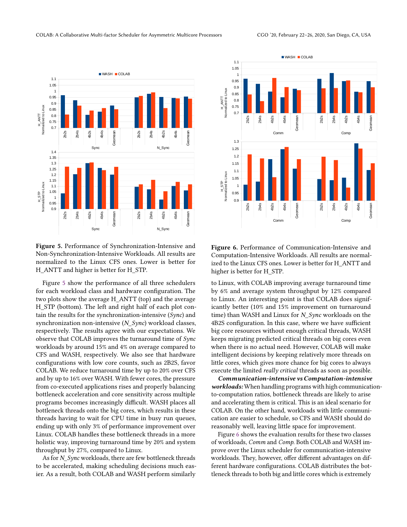<span id="page-8-0"></span>

Figure 5. Performance of Synchronization-Intensive and Non-Synchronization-Intensive Workloads. All results are normalized to the Linux CFS ones. Lower is better for H\_ANTT and higher is better for H\_STP.

Figure [5](#page-8-0) show the performance of all three schedulers for each workload class and hardware configuration. The two plots show the average H\_ANTT (top) and the average H\_STP (bottom). The left and right half of each plot contain the results for the synchronization-intensive (Sync) and synchronization non-intensive (N\_Sync) workload classes, respectively. The results agree with our expectations. We observe that COLAB improves the turnaround time of Sync workloads by around 15% and 4% on average compared to CFS and WASH, respectively. We also see that hardware configurations with low core counts, such as 2B2S, favor COLAB. We reduce turnaround time by up to 20% over CFS and by up to 16% over WASH. With fewer cores, the pressure from co-executed applications rises and properly balancing bottleneck acceleration and core sensitivity across multiple programs becomes increasingly difficult. WASH places all bottleneck threads onto the big cores, which results in these threads having to wait for CPU time in busy run queues, ending up with only 3% of performance improvement over Linux. COLAB handles these bottleneck threads in a more holistic way, improving turnaround time by 20% and system throughput by 27%, compared to Linux. **19 and the set of the set of the set of the set of the set of the set of the set of the set of the set of the set of the set of the set of the set of the set of the set of the set of the set of the set of the set of the** 

As for N\_Sync workloads, there are few bottleneck threads to be accelerated, making scheduling decisions much eas-

<span id="page-8-1"></span>

Figure 6. Performance of Communication-Intensive and Computation-Intensive Workloads. All results are normalized to the Linux CFS ones. Lower is better for H\_ANTT and higher is better for H\_STP.

to Linux, with COLAB improving average turnaround time by 6% and average system throughput by 12% compared to Linux. An interesting point is that COLAB does significantly better (10% and 15% improvement on turnaround time) than WASH and Linux for N\_Sync workloads on the 4B2S configuration. In this case, where we have sufficient big core resources without enough critical threads, WASH keeps migrating predicted critical threads on big cores even when there is no actual need. However, COLAB will make intelligent decisions by keeping relatively more threads on little cores, which gives more chance for big cores to always execute the limited really critical threads as soon as possible.

Communication-intensive vs Computation-intensive workloads: When handling programs with high communicationto-computation ratios, bottleneck threads are likely to arise and accelerating them is critical. This is an ideal scenario for COLAB. On the other hand, workloads with little communication are easier to schedule, so CFS and WASH should do reasonably well, leaving little space for improvement.

Figure [6](#page-8-1) shows the evaluation results for these two classes of workloads, Comm and Comp. Both COLAB and WASH improve over the Linux scheduler for communication-intensive workloads. They, however, offer different advantages on different hardware configurations. COLAB distributes the bottleneck threads to both big and little cores which is extremely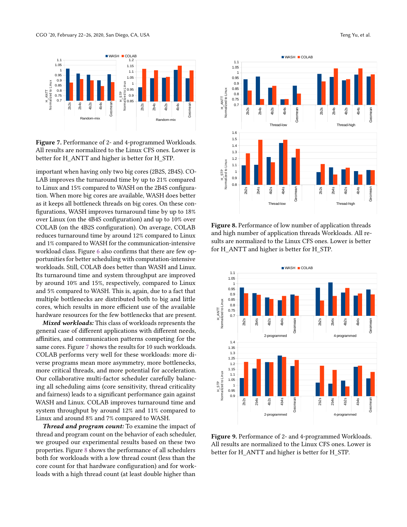<span id="page-9-0"></span>![](_page_9_Figure_1.jpeg)

Figure 7. Performance of 2- and 4-programmed Workloads. All results are normalized to the Linux CFS ones. Lower is better for H\_ANTT and higher is better for H\_STP.

important when having only two big cores (2B2S, 2B4S). CO-LAB improves the turnaround time by up to 21% compared to Linux and 15% compared to WASH on the 2B4S configuration. When more big cores are available, WASH does better as it keeps all bottleneck threads on big cores. On these configurations, WASH improves turnaround time by up to 18% over Linux (on the 4B4S configuration) and up to 10% over COLAB (on the 4B2S configuration). On average, COLAB reduces turnaround time by around 12% compared to Linux and 1% compared to WASH for the communication-intensive workload class. Figure [6](#page-8-1) also confirms that there are few opportunities for better scheduling with computation-intensive workloads. Still, COLAB does better than WASH and Linux. Its turnaround time and system throughput are improved by around 10% and 15%, respectively, compared to Linux and 5% compared to WASH. This is, again, due to a fact that multiple bottlenecks are distributed both to big and little cores, which results in more efficient use of the available hardware resources for the few bottlenecks that are present. Figure 7. Performance of 2 and 4 pergenerate Workloads.<br>
Figure 7. Performance of 2 and 4 pergenerate Workloads.<br>
All results are normalized to the limit CS ones. Lower is<br>
the three for  $1$ . ANTT and higher is better for

Mixed workloads: This class of workloads represents the general case of different applications with different needs, affinities, and communication patterns competing for the same cores. Figure [7](#page-9-0) shows the results for 10 such workloads. COLAB performs very well for these workloads: more diverse programs mean more asymmetry, more bottlenecks, more critical threads, and more potential for acceleration. Our collaborative multi-factor scheduler carefully balancing all scheduling aims (core sensitivity, thread criticality and fairness) leads to a significant performance gain against WASH and Linux. COLAB improves turnaround time and system throughput by around 12% and 11% compared to Linux and around 8% and 7% compared to WASH.

Thread and program count: To examine the impact of thread and program count on the behavior of each scheduler, we grouped our experimental results based on these two properties. Figure [8](#page-9-1) shows the performance of all schedulers both for workloads with a low thread count (less than the core count for that hardware configuration) and for work-

<span id="page-9-1"></span>![](_page_9_Figure_6.jpeg)

Figure 8. Performance of low number of application threads and high number of application threads Workloads. All results are normalized to the Linux CFS ones. Lower is better for H\_ANTT and higher is better for H\_STP.

<span id="page-9-2"></span>![](_page_9_Figure_8.jpeg)

Figure 9. Performance of 2- and 4-programmed Workloads. All results are normalized to the Linux CFS ones. Lower is better for H\_ANTT and higher is better for H\_STP.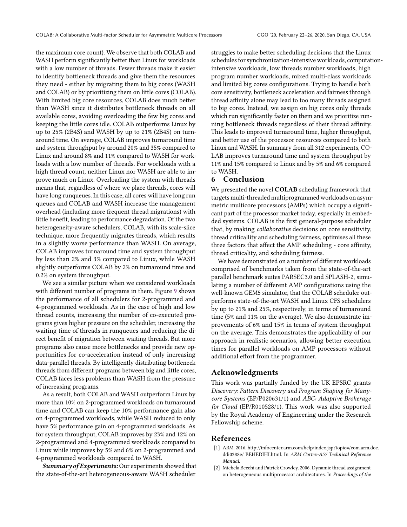the maximum core count). We observe that both COLAB and WASH perform significantly better than Linux for workloads with a low number of threads. Fewer threads make it easier to identify bottleneck threads and give them the resources they need - either by migrating them to big cores (WASH and COLAB) or by prioritizing them on little cores (COLAB). With limited big core resources, COLAB does much better than WASH since it distributes bottleneck threads on all available cores, avoiding overloading the few big cores and keeping the little cores idle. COLAB outperforms Linux by up to 25% (2B4S) and WASH by up to 21% (2B4S) on turnaround time. On average, COLAB improves turnaround time and system throughput by around 20% and 35% compared to Linux and around 8% and 11% compared to WASH for workloads with a low number of threads. For workloads with a high thread count, neither Linux nor WASH are able to improve much on Linux. Overloading the system with threads means that, regardless of where we place threads, cores will have long runqueues. In this case, all cores will have long run queues and COLAB and WASH increase the management overhead (including more frequent thread migrations) with little benefit, leading to performance degradation. Of the two heterogeneity-aware schedulers, COLAB, with its scale-slice technique, more frequently migrates threads, which results in a slightly worse performance than WASH. On average, COLAB improves turnaround time and system throughput by less than 2% and 3% compared to Linux, while WASH slightly outperforms COLAB by 2% on turnaround time and 0.2% on system throughput.

We see a similar picture when we considered workloads with different number of programs in them. Figure [9](#page-9-2) shows the performance of all schedulers for 2-programmed and 4-programmed workloads. As in the case of high and low thread counts, increasing the number of co-executed programs gives higher pressure on the scheduler, increasing the waiting time of threads in runqueues and reducing the direct benefit of migration between waiting threads. But more programs also cause more bottlenecks and provide new opportunities for co-acceleration instead of only increasing data-parallel threads. By intelligently distributing bottleneck threads from different programs between big and little cores, COLAB faces less problems than WASH from the pressure of increasing programs.

As a result, both COLAB and WASH outperform Linux by more than 10% on 2-programmed workloads on turnaround time and COLAB can keep the 10% performance gain also on 4-programmed workloads, while WASH reduced to only have 5% performance gain on 4-programmed workloads. As for system throughput, COLAB improves by 23% and 12% on 2-programmed and 4-programmed workloads compared to Linux while improves by 5% and 6% on 2-programmed and 4-programmed workloads compared to WASH.

Summary of Experiments: Our experiments showed that the state-of-the-art heterogeneous-aware WASH scheduler

struggles to make better scheduling decisions that the Linux schedules for synchronization-intensive workloads, computationintensive workloads, low threads number workloads, high program number workloads, mixed multi-class workloads and limited big cores configurations. Trying to handle both core sensitivity, bottleneck acceleration and fairness through thread affinity alone may lead to too many threads assigned to big cores. Instead, we assign on big cores only threads which run significantly faster on them and we prioritize running bottleneck threads regardless of their thread affinity. This leads to improved turnaround time, higher throughput, and better use of the processor resources compared to both Linux and WASH. In summary from all 312 experiments, CO-LAB improves turnaround time and system throughput by 11% and 15% compared to Linux and by 5% and 6% compared to WASH.

# 6 Conclusion

We presented the novel COLAB scheduling framework that targets multi-threaded multiprogrammed workloads on asymmetric multicore processors (AMPs) which occupy a significant part of the processor market today, especially in embedded systems. COLAB is the first general-purpose scheduler that, by making collaborative decisions on core sensitivity, thread criticallity and scheduling fairness, optimises all these three factors that affect the AMP scheduling - core affinity, thread criticality, and scheduling fairness.

We have demonstrated on a number of different workloads comprised of benchmarks taken from the state-of-the-art parallel benchmark suites PARSEC3.0 and SPLASH-2, simulating a number of different AMP configurations using the well-known GEM5 simulator, that the COLAB scheduler outperforms state-of-the-art WASH and Linux CFS schedulers by up to 21% and 25%, respectively, in terms of turnaround time (5% and 11% on the average). We also demonstrate improvements of 6% and 15% in terms of system throughput on the average. This demonstrates the applicability of our approach in realistic scenarios, allowing better execution times for parallel workloads on AMP processors without additional effort from the programmer.

# Acknowledgments

This work was partially funded by the UK EPSRC grants Discovery: Pattern Discovery and Program Shaping for Manycore Systems (EP/P020631/1) and ABC: Adaptive Brokerage for Cloud (EP/R010528/1). This work was also supported by the Royal Academy of Engineering under the Research Fellowship scheme.

## References

- <span id="page-10-1"></span>[1] ARM. 2016. http://infocenter.arm.com/help/index.jsp?topic=/com.arm.doc. ddi0388e/ BEHEDIHI.html. In ARM Cortex-A57 Technical Reference Manual.
- <span id="page-10-0"></span>[2] Michela Becchi and Patrick Crowley. 2006. Dynamic thread assignment on heterogeneous multiprocessor architectures. In Proceedings of the